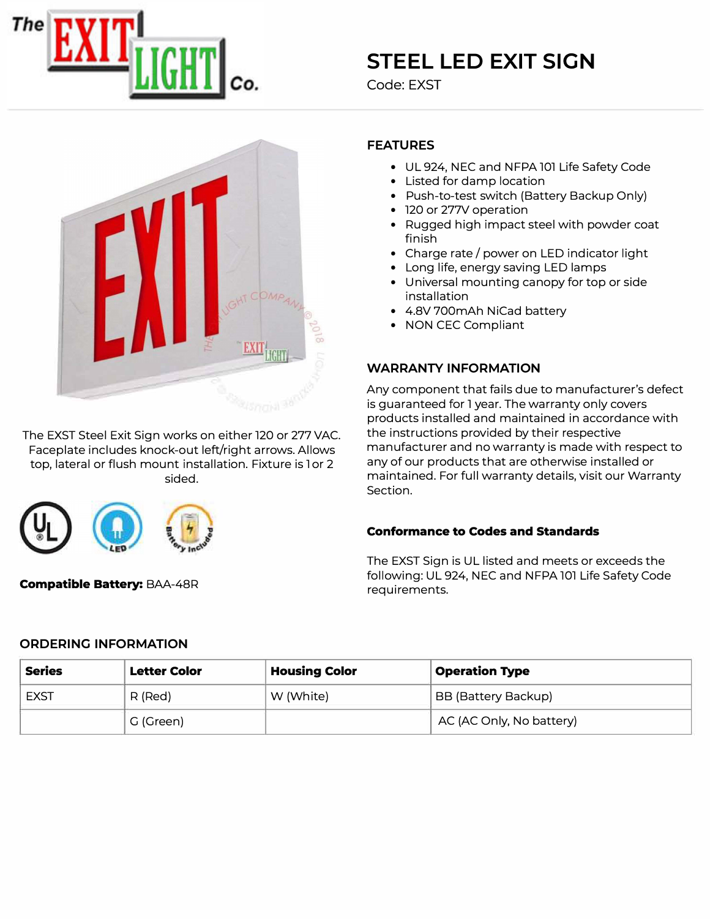

# **STEEL LED EXIT SIGN**

Code: EXST



The EXST Steel Exit Sign works on either 120 or 277 VAC. Faceplate includes knock-out left/right arrows. Allows top, lateral or flush mount installation. Fixture is lor 2 sided.



## FEATURES

- UL 924, NEC and NFPA 101 Life Safety Code
- Listed for damp location
- Push-to-test switch (Battery Backup Only)
- 120 or 277V operation
- Rugged high impact steel with powder coat finish
- Charge rate/ power on LED indicator light
- Long life, energy saving LED lamps
- Universal mounting canopy for top or side installation
- 4.8V 700mAh NiCad battery
- NON CEC Compliant

#### WARRANTY INFORMATION

Any component that fails due to manufacturer's defect is guaranteed for l year. The warranty only covers products installed and maintained in accordance with the instructions provided by their respective manufacturer and no warranty is made with respect to any of our products that are otherwise installed or maintained. For full warranty details, visit our Warranty Section.

#### Conformance to Codes and Standards

The EXST Sign is UL listed and meets or exceeds the following: UL 924, NEC and NFPA 101 Life Safety Code requirements.

Compatible Battery: BAA-48R

## ORDERING INFORMATION

| <b>Series</b> | <b>Letter Color</b> | <b>Housing Color</b> | <b>Operation Type</b>    |
|---------------|---------------------|----------------------|--------------------------|
| EXST          | R (Red)             | W (White)            | BB (Battery Backup)      |
|               | G (Green)           |                      | AC (AC Only, No battery) |